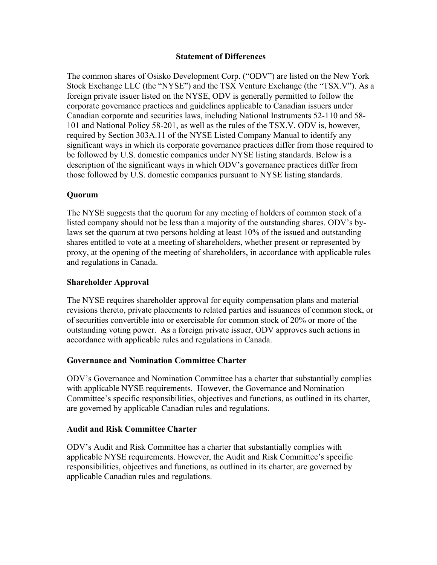#### **Statement of Differences**

The common shares of Osisko Development Corp. ("ODV") are listed on the New York Stock Exchange LLC (the "NYSE") and the TSX Venture Exchange (the "TSX.V"). As a foreign private issuer listed on the NYSE, ODV is generally permitted to follow the corporate governance practices and guidelines applicable to Canadian issuers under Canadian corporate and securities laws, including National Instruments 52-110 and 58- 101 and National Policy 58-201, as well as the rules of the TSX.V. ODV is, however, required by Section 303A.11 of the NYSE Listed Company Manual to identify any significant ways in which its corporate governance practices differ from those required to be followed by U.S. domestic companies under NYSE listing standards. Below is a description of the significant ways in which ODV's governance practices differ from those followed by U.S. domestic companies pursuant to NYSE listing standards.

# **Quorum**

The NYSE suggests that the quorum for any meeting of holders of common stock of a listed company should not be less than a majority of the outstanding shares. ODV's bylaws set the quorum at two persons holding at least 10% of the issued and outstanding shares entitled to vote at a meeting of shareholders, whether present or represented by proxy, at the opening of the meeting of shareholders, in accordance with applicable rules and regulations in Canada.

## **Shareholder Approval**

The NYSE requires shareholder approval for equity compensation plans and material revisions thereto, private placements to related parties and issuances of common stock, or of securities convertible into or exercisable for common stock of 20% or more of the outstanding voting power. As a foreign private issuer, ODV approves such actions in accordance with applicable rules and regulations in Canada.

## **Governance and Nomination Committee Charter**

ODV's Governance and Nomination Committee has a charter that substantially complies with applicable NYSE requirements. However, the Governance and Nomination Committee's specific responsibilities, objectives and functions, as outlined in its charter, are governed by applicable Canadian rules and regulations.

## **Audit and Risk Committee Charter**

ODV's Audit and Risk Committee has a charter that substantially complies with applicable NYSE requirements. However, the Audit and Risk Committee's specific responsibilities, objectives and functions, as outlined in its charter, are governed by applicable Canadian rules and regulations.